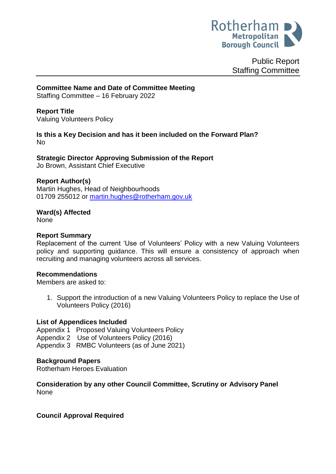

Public Report Staffing Committee

**Committee Name and Date of Committee Meeting**

Staffing Committee – 16 February 2022

**Report Title** Valuing Volunteers Policy

**Is this a Key Decision and has it been included on the Forward Plan?**  No

**Strategic Director Approving Submission of the Report** Jo Brown, Assistant Chief Executive

### **Report Author(s)**

Martin Hughes, Head of Neighbourhoods 01709 255012 or [martin.hughes@rotherham.gov.uk](mailto:martin.hughes@rotherham.gov.uk)

**Ward(s) Affected** None

### **Report Summary**

Replacement of the current 'Use of Volunteers' Policy with a new Valuing Volunteers policy and supporting guidance. This will ensure a consistency of approach when recruiting and managing volunteers across all services.

### **Recommendations**

Members are asked to:

1. Support the introduction of a new Valuing Volunteers Policy to replace the Use of Volunteers Policy (2016)

### **List of Appendices Included**

Appendix 1 Proposed Valuing Volunteers Policy Appendix 2 Use of Volunteers Policy (2016) Appendix 3 RMBC Volunteers (as of June 2021)

### **Background Papers**

Rotherham Heroes Evaluation

**Consideration by any other Council Committee, Scrutiny or Advisory Panel** None

## **Council Approval Required**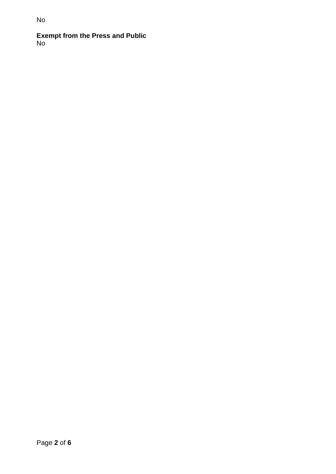# **Exempt from the Press and Public** No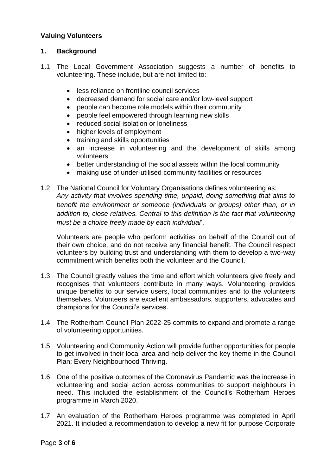### **Valuing Volunteers**

### **1. Background**

- 1.1 The Local Government Association suggests a number of benefits to volunteering. These include, but are not limited to:
	- less reliance on frontline council services
	- decreased demand for social care and/or low-level support
	- people can become role models within their community
	- people feel empowered through learning new skills
	- reduced social isolation or loneliness
	- higher levels of employment
	- training and skills opportunities
	- an increase in volunteering and the development of skills among volunteers
	- better understanding of the social assets within the local community
	- making use of under-utilised community facilities or resources
- 1.2 The National Council for Voluntary Organisations defines volunteering as: *Any activity that involves spending time, unpaid, doing something that aims to benefit the environment or someone (individuals or groups) other than, or in addition to, close relatives. Central to this definition is the fact that volunteering must be a choice freely made by each individual*'.

Volunteers are people who perform activities on behalf of the Council out of their own choice, and do not receive any financial benefit. The Council respect volunteers by building trust and understanding with them to develop a two-way commitment which benefits both the volunteer and the Council.

- 1.3 The Council greatly values the time and effort which volunteers give freely and recognises that volunteers contribute in many ways. Volunteering provides unique benefits to our service users, local communities and to the volunteers themselves. Volunteers are excellent ambassadors, supporters, advocates and champions for the Council's services.
- 1.4 The Rotherham Council Plan 2022-25 commits to expand and promote a range of volunteering opportunities.
- 1.5 Volunteering and Community Action will provide further opportunities for people to get involved in their local area and help deliver the key theme in the Council Plan; Every Neighbourhood Thriving.
- 1.6 One of the positive outcomes of the Coronavirus Pandemic was the increase in volunteering and social action across communities to support neighbours in need. This included the establishment of the Council's Rotherham Heroes programme in March 2020.
- 1.7 An evaluation of the Rotherham Heroes programme was completed in April 2021. It included a recommendation to develop a new fit for purpose Corporate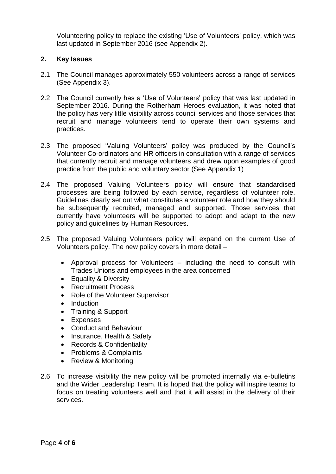Volunteering policy to replace the existing 'Use of Volunteers' policy, which was last updated in September 2016 (see Appendix 2).

### **2. Key Issues**

- 2.1 The Council manages approximately 550 volunteers across a range of services (See Appendix 3).
- 2.2 The Council currently has a 'Use of Volunteers' policy that was last updated in September 2016. During the Rotherham Heroes evaluation, it was noted that the policy has very little visibility across council services and those services that recruit and manage volunteers tend to operate their own systems and practices.
- 2.3 The proposed 'Valuing Volunteers' policy was produced by the Council's Volunteer Co-ordinators and HR officers in consultation with a range of services that currently recruit and manage volunteers and drew upon examples of good practice from the public and voluntary sector (See Appendix 1)
- 2.4 The proposed Valuing Volunteers policy will ensure that standardised processes are being followed by each service, regardless of volunteer role. Guidelines clearly set out what constitutes a volunteer role and how they should be subsequently recruited, managed and supported. Those services that currently have volunteers will be supported to adopt and adapt to the new policy and guidelines by Human Resources.
- 2.5 The proposed Valuing Volunteers policy will expand on the current Use of Volunteers policy. The new policy covers in more detail –
	- Approval process for Volunteers including the need to consult with Trades Unions and employees in the area concerned
	- Equality & Diversity
	- Recruitment Process
	- Role of the Volunteer Supervisor
	- Induction
	- Training & Support
	- Expenses
	- Conduct and Behaviour
	- Insurance, Health & Safety
	- Records & Confidentiality
	- Problems & Complaints
	- Review & Monitoring
- 2.6 To increase visibility the new policy will be promoted internally via e-bulletins and the Wider Leadership Team. It is hoped that the policy will inspire teams to focus on treating volunteers well and that it will assist in the delivery of their services.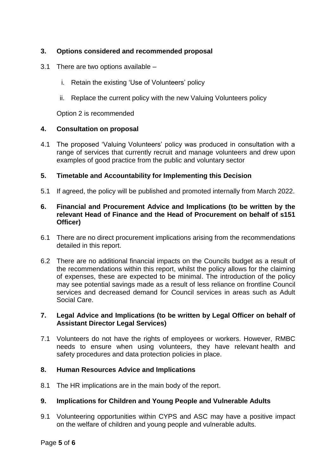## **3. Options considered and recommended proposal**

- 3.1 There are two options available
	- i. Retain the existing 'Use of Volunteers' policy
	- ii. Replace the current policy with the new Valuing Volunteers policy

Option 2 is recommended

### **4. Consultation on proposal**

4.1 The proposed 'Valuing Volunteers' policy was produced in consultation with a range of services that currently recruit and manage volunteers and drew upon examples of good practice from the public and voluntary sector

### **5. Timetable and Accountability for Implementing this Decision**

5.1 If agreed, the policy will be published and promoted internally from March 2022.

### **6. Financial and Procurement Advice and Implications (to be written by the relevant Head of Finance and the Head of Procurement on behalf of s151 Officer)**

- 6.1 There are no direct procurement implications arising from the recommendations detailed in this report.
- 6.2 There are no additional financial impacts on the Councils budget as a result of the recommendations within this report, whilst the policy allows for the claiming of expenses, these are expected to be minimal. The introduction of the policy may see potential savings made as a result of less reliance on frontline Council services and decreased demand for Council services in areas such as Adult Social Care.

### **7. Legal Advice and Implications (to be written by Legal Officer on behalf of Assistant Director Legal Services)**

7.1 Volunteers do not have the rights of employees or workers. However, RMBC needs to ensure when using volunteers, they have relevant health and safety procedures and data protection policies in place.

### **8. Human Resources Advice and Implications**

8.1 The HR implications are in the main body of the report.

## **9. Implications for Children and Young People and Vulnerable Adults**

9.1 Volunteering opportunities within CYPS and ASC may have a positive impact on the welfare of children and young people and vulnerable adults.